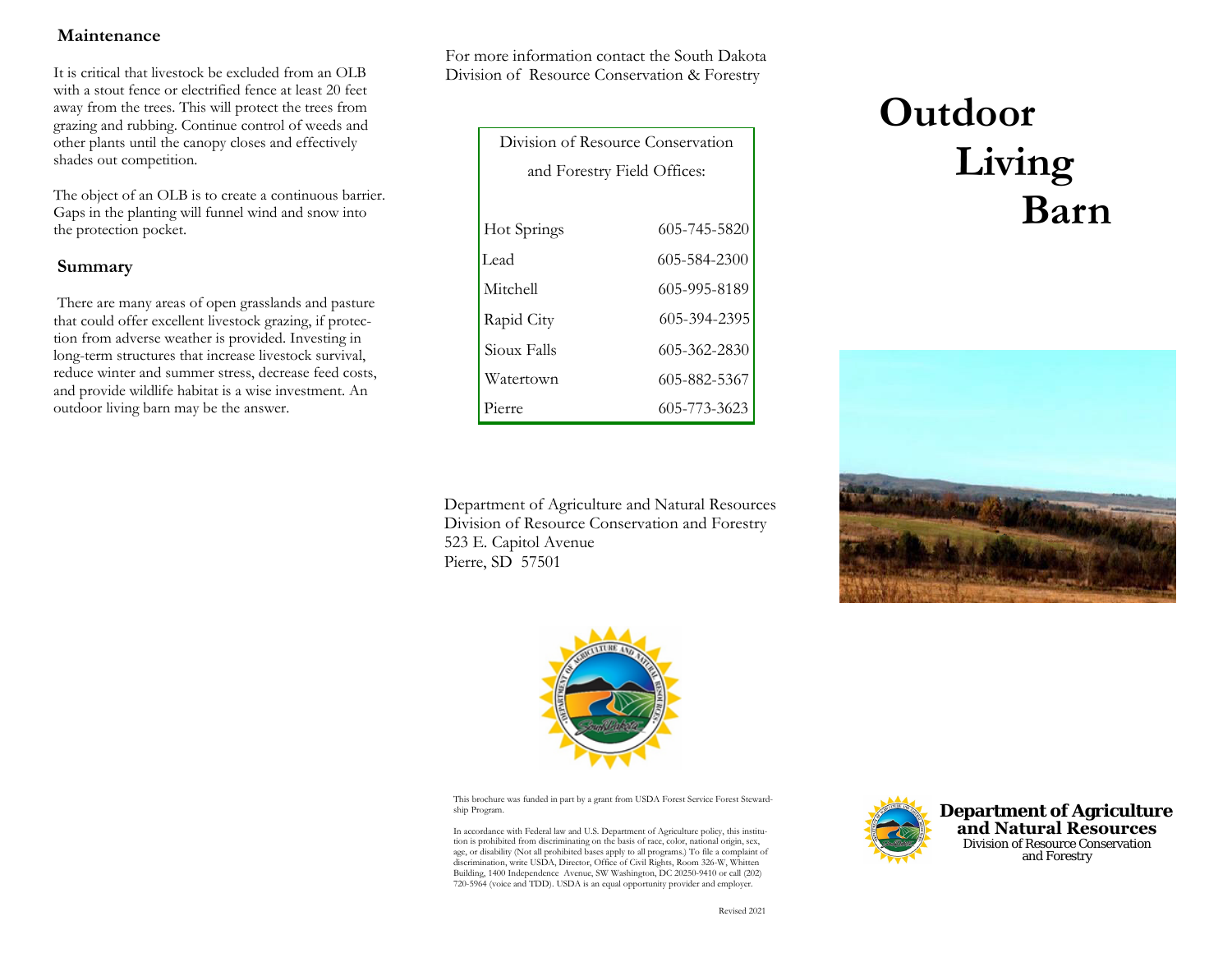# **Maintenance**

It is critical that livestock be excluded from an OLB with a stout fence or electrified fence at least 20 feet away from the trees. This will protect the trees from grazing and rubbing. Continue control of weeds and other plants until the canopy closes and effectively shades out competition.

The object of an OLB is to create a continuous barrier. Gaps in the planting will funnel wind and snow into the protection pocket.

## **Summary**

 There are many areas of open grasslands and pasture that could offer excellent livestock grazing, if protection from adverse weather is provided. Investing in long-term structures that increase livestock survival, reduce winter and summer stress, decrease feed costs, and provide wildlife habitat is a wise investment. An outdoor living barn may be the answer.

For more information contact the South Dakota Division of Resource Conservation & Forestry

| Division of Resource Conservation |              |  |  |  |
|-----------------------------------|--------------|--|--|--|
| and Forestry Field Offices:       |              |  |  |  |
|                                   |              |  |  |  |
| Hot Springs                       | 605-745-5820 |  |  |  |
| Lead                              | 605-584-2300 |  |  |  |
| Mitchell                          | 605-995-8189 |  |  |  |
| Rapid City                        | 605-394-2395 |  |  |  |
| Sioux Falls                       | 605-362-2830 |  |  |  |
| Watertown                         | 605-882-5367 |  |  |  |
| Pierre                            | 605-773-3623 |  |  |  |

Department of Agriculture and Natural ResourcesDivision of Resource Conservation and Forestry 523 E. Capitol Avenue Pierre, SD 57501







This brochure was funded in part by a grant from USDA Forest Service Forest Stewardship Program.

In accordance with Federal law and U.S. Department of Agriculture policy, this institution is prohibited from discriminating on the basis of race, color, national origin, sex, age, or disability (Not all prohibited bases apply to all programs.) To file a complaint of discrimination, write USDA, Director, Office of Civil Rights, Room 326-W, Whitten Building, 1400 Independence Avenue, SW Washington, DC 20250-9410 or call (202) 720-5964 (voice and TDD). USDA is an equal opportunity provider and employer.